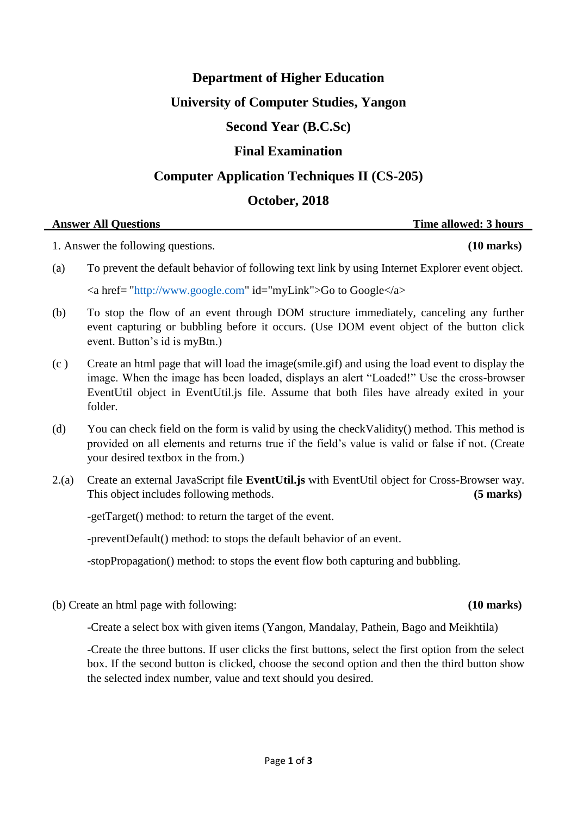#### **Department of Higher Education**

# **University of Computer Studies, Yangon**

### **Second Year (B.C.Sc)**

# **Final Examination**

## **Computer Application Techniques II (CS-205)**

# **October, 2018**

| <b>Answer All Ouestions</b> | Time allowed: 3 hours |
|-----------------------------|-----------------------|
|                             |                       |

1. Answer the following questions. **(10 marks)**

- (a) To prevent the default behavior of following text link by using Internet Explorer event object.  $\alpha$  href= ["http://www.google.com"](http://www.google.com/) id="myLink">Go to Google $\alpha$
- (b) To stop the flow of an event through DOM structure immediately, canceling any further event capturing or bubbling before it occurs. (Use DOM event object of the button click event. Button"s id is myBtn.)
- (c ) Create an html page that will load the image(smile.gif) and using the load event to display the image. When the image has been loaded, displays an alert "Loaded!" Use the cross-browser EventUtil object in EventUtil.js file. Assume that both files have already exited in your folder.
- (d) You can check field on the form is valid by using the checkValidity() method. This method is provided on all elements and returns true if the field"s value is valid or false if not. (Create your desired textbox in the from.)
- 2.(a) Create an external JavaScript file **EventUtil.js** with EventUtil object for Cross-Browser way. This object includes following methods. **(5 marks)**

-getTarget() method: to return the target of the event.

-preventDefault() method: to stops the default behavior of an event.

-stopPropagation() method: to stops the event flow both capturing and bubbling.

(b) Create an html page with following: **(10 marks)**

-Create a select box with given items (Yangon, Mandalay, Pathein, Bago and Meikhtila)

-Create the three buttons. If user clicks the first buttons, select the first option from the select box. If the second button is clicked, choose the second option and then the third button show the selected index number, value and text should you desired.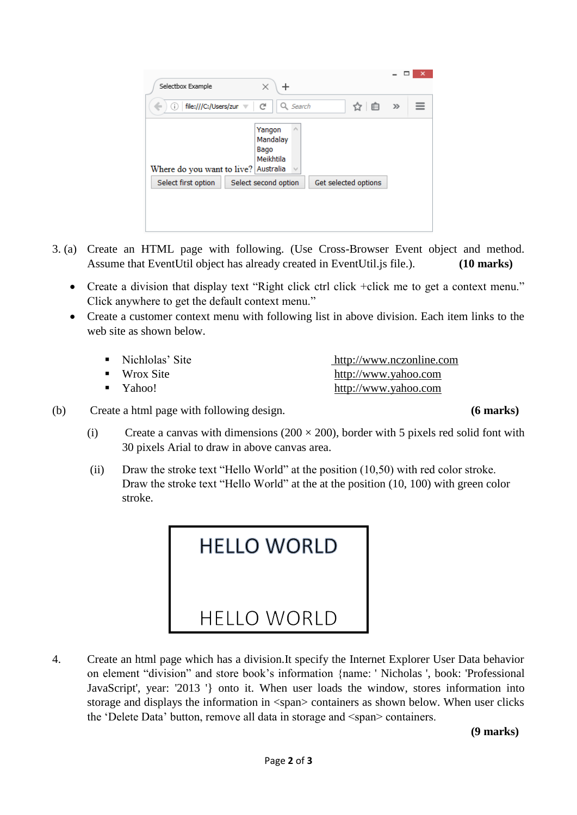| Selectbox Example<br>×<br>┿                                                                        |       |  |
|----------------------------------------------------------------------------------------------------|-------|--|
| file:///C:/Users/zur<br>c<br>Search<br>自<br>O.<br>Q                                                | $\gg$ |  |
| $\mathcal{O}_2$<br>Yangon<br>Mandalay<br>Bago<br>Meikhtila<br>Where do you want to live? Australia |       |  |
| Select second option<br>Select first option<br>Get selected options                                |       |  |
|                                                                                                    |       |  |
|                                                                                                    |       |  |
|                                                                                                    |       |  |

- 3. (a) Create an HTML page with following. (Use Cross-Browser Event object and method. Assume that EventUtil object has already created in EventUtil.js file.). **(10 marks)**
	- Create a division that display text "Right click ctrl click +click me to get a context menu." Click anywhere to get the default context menu."
	- Create a customer context menu with following list in above division. Each item links to the web site as shown below.

| • Nichlolas' Site        | http://www.nczonline.com |
|--------------------------|--------------------------|
| $\blacksquare$ Wrox Site | http://www.yahoo.com     |
| $\blacksquare$ Yahoo!    | http://www.yahoo.com     |

- (b) Create a html page with following design. **(6 marks)**
	- (i) Create a canvas with dimensions  $(200 \times 200)$ , border with 5 pixels red solid font with 30 pixels Arial to draw in above canvas area.
	- (ii) Draw the stroke text "Hello World" at the position (10,50) with red color stroke. Draw the stroke text "Hello World" at the at the position (10, 100) with green color stroke.

| <b>HELLO WORLD</b> |  |
|--------------------|--|
| <b>HFLLO WORLD</b> |  |

4. Create an html page which has a division.It specify the Internet Explorer User Data behavior on element "division" and store book"s information {name: ' Nicholas ', book: 'Professional JavaScript', year: '2013 '} onto it. When user loads the window, stores information into storage and displays the information in <span> containers as shown below. When user clicks the 'Delete Data' button, remove all data in storage and <span> containers.

**(9 marks)**